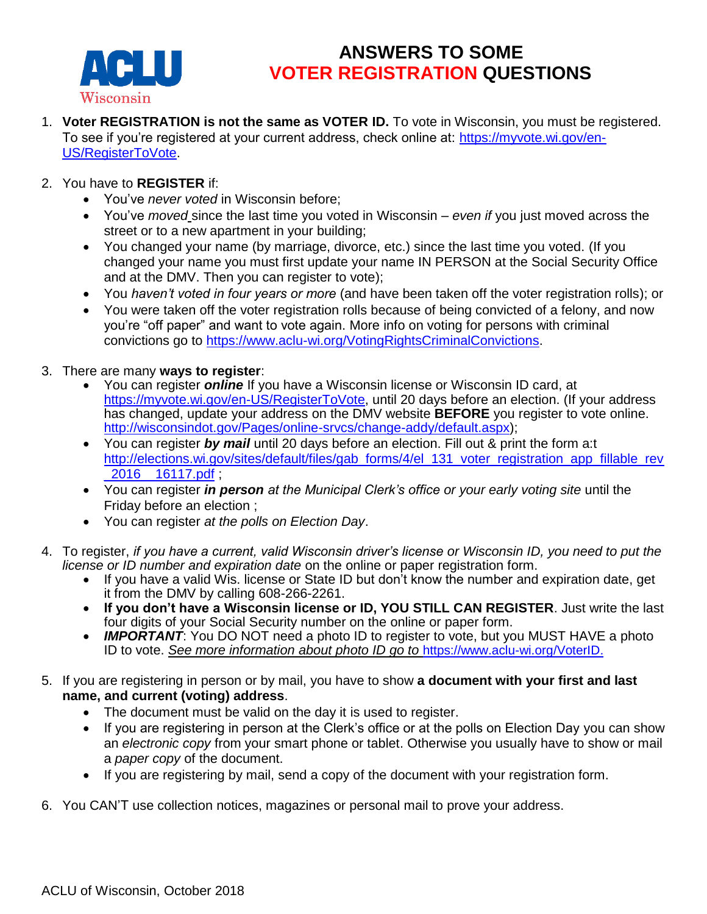

## **ANSWERS TO SOME VOTER REGISTRATION QUESTIONS**

- 1. **Voter REGISTRATION is not the same as VOTER ID.** To vote in Wisconsin, you must be registered. To see if you're registered at your current address, check online at: [https://myvote.wi.gov/en-](https://myvote.wi.gov/en-US/RegisterToVote)[US/RegisterToVote.](https://myvote.wi.gov/en-US/RegisterToVote)
- 2. You have to **REGISTER** if:
	- You've *never voted* in Wisconsin before;
	- You've *moved* since the last time you voted in Wisconsin *even if* you just moved across the street or to a new apartment in your building;
	- You changed your name (by marriage, divorce, etc.) since the last time you voted. (If you changed your name you must first update your name IN PERSON at the Social Security Office and at the DMV. Then you can register to vote);
	- You *haven't voted in four years or more* (and have been taken off the voter registration rolls); or
	- You were taken off the voter registration rolls because of being convicted of a felony, and now you're "off paper" and want to vote again. More info on voting for persons with criminal convictions go to [https://www.aclu-wi.org/VotingRightsCriminalConvictions.](https://www.aclu-wi.org/VotingRightsCriminalConvictions)
- 3. There are many **ways to register**:
	- You can register *online* If you have a Wisconsin license or Wisconsin ID card, at [https://myvote.wi.gov/en-US/RegisterToVote,](https://myvote.wi.gov/en-US/RegisterToVote) until 20 days before an election. (If your address has changed, update your address on the DMV website **BEFORE** you register to vote online. [http://wisconsindot.gov/Pages/online-srvcs/change-addy/default.aspx\)](http://wisconsindot.gov/Pages/online-srvcs/change-addy/default.aspx);
	- You can register *by mail* until 20 days before an election. Fill out & print the form a:t [http://elections.wi.gov/sites/default/files/gab\\_forms/4/el\\_131\\_voter\\_registration\\_app\\_fillable\\_rev](http://elections.wi.gov/sites/default/files/gab_forms/4/el_131_voter_registration_app_fillable_rev_2016__16117.pdf) [\\_2016\\_\\_16117.pdf](http://elections.wi.gov/sites/default/files/gab_forms/4/el_131_voter_registration_app_fillable_rev_2016__16117.pdf) ;
	- You can register *in person at the Municipal Clerk's office or your early voting site* until the Friday before an election ;
	- You can register *at the polls on Election Day*.
- 4. To register, *if you have a current, valid Wisconsin driver's license or Wisconsin ID, you need to put the license or ID number and expiration date* on the online or paper registration form.
	- If you have a valid Wis. license or State ID but don't know the number and expiration date, get it from the DMV by calling 608-266-2261.
	- **If you don't have a Wisconsin license or ID, YOU STILL CAN REGISTER**. Just write the last four digits of your Social Security number on the online or paper form.
	- **IMPORTANT:** You DO NOT need a photo ID to register to vote, but you MUST HAVE a photo ID to vote. *See more information about photo ID go to* [https://www.aclu-wi.org/VoterID.](https://www.aclu-wi.org/VoterID)
- 5. If you are registering in person or by mail, you have to show **a document with your first and last name, and current (voting) address**.
	- The document must be valid on the day it is used to register.
	- If you are registering in person at the Clerk's office or at the polls on Election Day you can show an *electronic copy* from your smart phone or tablet. Otherwise you usually have to show or mail a *paper copy* of the document.
	- If you are registering by mail, send a copy of the document with your registration form.
- 6. You CAN'T use collection notices, magazines or personal mail to prove your address.